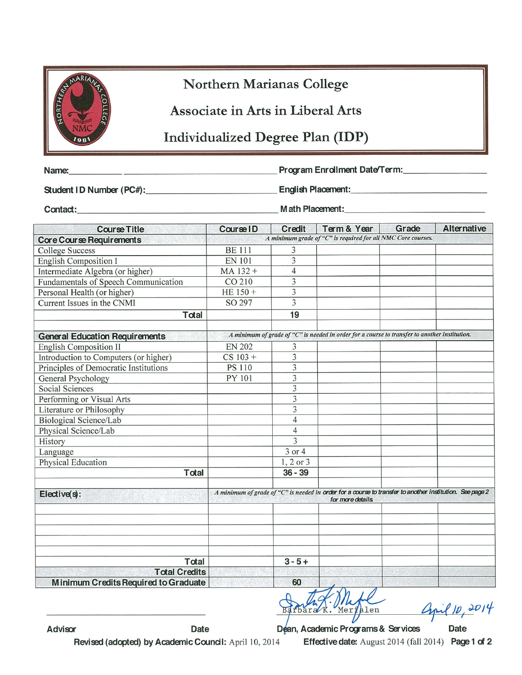| ARIANA              |
|---------------------|
| ERA<br><b>OLLEC</b> |
|                     |
| 98                  |

## Northern Marianas College

Associate in Arts in Liberal Arts

## Individualized Degree Plan (IDP)

Name:

Program Enrollment Date/Term:

Student ID Number (PC#):

English Placement:

Contact:

Math Placement:

| <b>Course Title</b>                                   | <b>Course ID</b>                                                                                         | <b>Credit</b>           | Term & Year                                                                                   | Grade | <b>Alternative</b> |
|-------------------------------------------------------|----------------------------------------------------------------------------------------------------------|-------------------------|-----------------------------------------------------------------------------------------------|-------|--------------------|
| <b>Core Course Requirements</b>                       |                                                                                                          |                         | A minimum grade of "C" is required for all NMC Core courses.                                  |       |                    |
| <b>College Success</b>                                | <b>BE 111</b>                                                                                            | 3                       |                                                                                               |       |                    |
| <b>English Composition I</b>                          | <b>EN 101</b>                                                                                            | 3                       |                                                                                               |       |                    |
| Intermediate Algebra (or higher)                      | MA 132+                                                                                                  | 4                       |                                                                                               |       |                    |
| Fundamentals of Speech Communication                  | CO 210                                                                                                   | 3                       |                                                                                               |       |                    |
| Personal Health (or higher)                           | HE $150 +$                                                                                               | 3                       |                                                                                               |       |                    |
| Current Issues in the CNMI                            | SO 297                                                                                                   | 3                       |                                                                                               |       |                    |
| Total                                                 |                                                                                                          | 19                      |                                                                                               |       |                    |
|                                                       |                                                                                                          |                         | A minimum of grade of "C" is needed in order for a course to transfer to another institution. |       |                    |
| <b>General Education Requirements</b>                 |                                                                                                          |                         |                                                                                               |       |                    |
| English Composition II                                | <b>EN 202</b>                                                                                            | 3<br>3                  |                                                                                               |       |                    |
| Introduction to Computers (or higher)                 | $CS 103 +$<br><b>PS 110</b>                                                                              | $\overline{3}$          |                                                                                               |       |                    |
| Principles of Democratic Institutions                 | PY 101                                                                                                   | $\overline{\mathbf{3}}$ |                                                                                               |       |                    |
| General Psychology<br>Social Sciences                 |                                                                                                          | 3                       |                                                                                               |       |                    |
|                                                       |                                                                                                          | $\overline{3}$          |                                                                                               |       |                    |
| Performing or Visual Arts<br>Literature or Philosophy |                                                                                                          | 3                       |                                                                                               |       |                    |
| <b>Biological Science/Lab</b>                         |                                                                                                          | $\overline{4}$          |                                                                                               |       |                    |
| Physical Science/Lab                                  |                                                                                                          | $\overline{4}$          |                                                                                               |       |                    |
| History                                               |                                                                                                          | $\overline{3}$          |                                                                                               |       |                    |
| Language                                              |                                                                                                          | 3 or 4                  |                                                                                               |       |                    |
| Physical Education                                    |                                                                                                          | 1, 2 or 3               |                                                                                               |       |                    |
| Total                                                 |                                                                                                          | $36 - 39$               |                                                                                               |       |                    |
|                                                       |                                                                                                          |                         |                                                                                               |       |                    |
| Elective(s):                                          | A minimum of grade of "C" is needed in order for a course to transfer to another institution. See page 2 |                         |                                                                                               |       |                    |
|                                                       |                                                                                                          |                         | for more details.                                                                             |       |                    |
|                                                       |                                                                                                          |                         |                                                                                               |       |                    |
|                                                       |                                                                                                          |                         |                                                                                               |       |                    |
|                                                       |                                                                                                          |                         |                                                                                               |       |                    |
| Total                                                 |                                                                                                          | $3 - 5 +$               |                                                                                               |       |                    |
| <b>Total Credits</b>                                  |                                                                                                          |                         |                                                                                               |       |                    |
| <b>Minimum Credits Required to Graduate</b>           |                                                                                                          | 60                      | $\overline{+}$                                                                                |       |                    |

apil 10, 2014

Advisor

Dean, Academic Programs & Services Date Effective date: August 2014 (fall 2014) Page 1 of 2